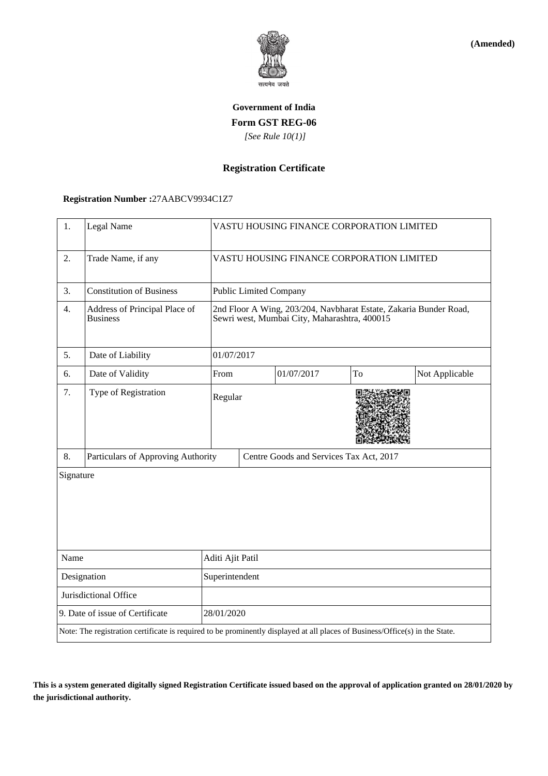

**(Amended)**

# **Government of India Form GST REG-06**  *[See Rule 10(1)]*

## **Registration Certificate**

### **Registration Number :**27AABCV9934C1Z7

| 1.                              | Legal Name                                                                                                                   |                  | VASTU HOUSING FINANCE CORPORATION LIMITED                                                                         |            |    |                |  |
|---------------------------------|------------------------------------------------------------------------------------------------------------------------------|------------------|-------------------------------------------------------------------------------------------------------------------|------------|----|----------------|--|
| 2.                              | Trade Name, if any                                                                                                           |                  | VASTU HOUSING FINANCE CORPORATION LIMITED                                                                         |            |    |                |  |
| 3.                              | <b>Constitution of Business</b>                                                                                              |                  | <b>Public Limited Company</b>                                                                                     |            |    |                |  |
| 4.                              | Address of Principal Place of<br><b>Business</b>                                                                             |                  | 2nd Floor A Wing, 203/204, Navbharat Estate, Zakaria Bunder Road,<br>Sewri west, Mumbai City, Maharashtra, 400015 |            |    |                |  |
| 5.                              | Date of Liability                                                                                                            |                  | 01/07/2017                                                                                                        |            |    |                |  |
| 6.                              | Date of Validity                                                                                                             | From             |                                                                                                                   | 01/07/2017 | To | Not Applicable |  |
| 7.                              | Type of Registration                                                                                                         | Regular          |                                                                                                                   |            |    |                |  |
| 8.                              | Particulars of Approving Authority                                                                                           |                  | Centre Goods and Services Tax Act, 2017                                                                           |            |    |                |  |
| Signature                       |                                                                                                                              |                  |                                                                                                                   |            |    |                |  |
| Name                            |                                                                                                                              | Aditi Ajit Patil |                                                                                                                   |            |    |                |  |
| Designation                     |                                                                                                                              | Superintendent   |                                                                                                                   |            |    |                |  |
| Jurisdictional Office           |                                                                                                                              |                  |                                                                                                                   |            |    |                |  |
| 9. Date of issue of Certificate |                                                                                                                              |                  | 28/01/2020                                                                                                        |            |    |                |  |
|                                 | Note: The registration certificate is required to be prominently displayed at all places of Business/Office(s) in the State. |                  |                                                                                                                   |            |    |                |  |

**This is a system generated digitally signed Registration Certificate issued based on the approval of application granted on 28/01/2020 by the jurisdictional authority.**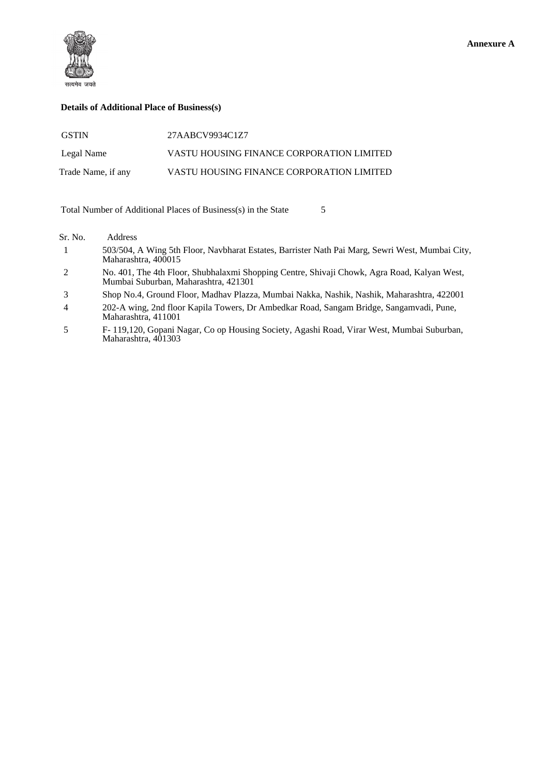



### **Details of Additional Place of Business(s)**

| <b>GSTIN</b>       | 27AABCV9934C1Z7                           |
|--------------------|-------------------------------------------|
| Legal Name         | VASTU HOUSING FINANCE CORPORATION LIMITED |
| Trade Name, if any | VASTU HOUSING FINANCE CORPORATION LIMITED |

Total Number of Additional Places of Business(s) in the State 5

#### Sr. No. Address

- 1 503/504, A Wing 5th Floor, Navbharat Estates, Barrister Nath Pai Marg, Sewri West, Mumbai City, Maharashtra, 400015
- 2 No. 401, The 4th Floor, Shubhalaxmi Shopping Centre, Shivaji Chowk, Agra Road, Kalyan West, Mumbai Suburban, Maharashtra, 421301
- 3 Shop No.4, Ground Floor, Madhav Plazza, Mumbai Nakka, Nashik, Nashik, Maharashtra, 422001
- 4 202-A wing, 2nd floor Kapila Towers, Dr Ambedkar Road, Sangam Bridge, Sangamvadi, Pune, Maharashtra, 411001
- 5 F- 119,120, Gopani Nagar, Co op Housing Society, Agashi Road, Virar West, Mumbai Suburban, Maharashtra, 401303